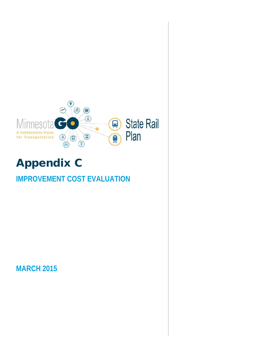

# Appendix C

# **IMPROVEMENT COST EVALUATION**

**MARCH 2015**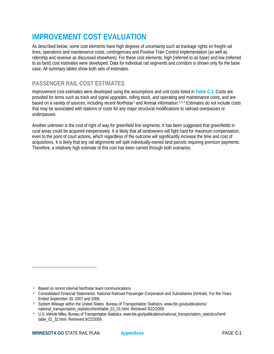# **IMPROVEMENT COST EVALUATION**

As described below, some cost elements have high degrees of uncertainty such as trackage rights on freight rail lines, operations and maintenance costs, contingencies and Positive Train Control implementation (as well as ridership and revenue as discussed elsewhere). For these cost elements, high (referred to as base) and low (referred to as best) cost estimates were developed. Data for individual rail segments and corridors is shown only for the base case. All summary tables show both sets of estimates.

# **PASSENGER RAIL COST ESTIMATES**

Improvement cost estimates were developed using the assumptions and unit costs listed in **Table C.1**. Costs are provided for items such as track and signal upgrades, rolling stock, and operating and maintenance costs, and are based on a variety of sources, including recent Northstar<sup>[1](#page-1-0)</sup> and Amtrak information.<sup>[2](#page-1-1),[3](#page-1-2),[4](#page-1-3)</sup> Estimates do not include costs that may be associated with stations or costs for any major structural modifications to railroad overpasses or underpasses.

Another unknown is the cost of right of way for greenfield line segments. It has been suggested that greenfields in rural areas could be acquired inexpensively. It is likely that all landowners will fight hard for maximum compensation, even to the point of court actions, which regardless of the outcome will significantly increase the time and cost of acquisitions. It is likely that any rail alignments will split individually-owned land parcels requiring premium payments. Therefore, a relatively high estimate of this cost has been carried through both scenarios.

l

<span id="page-1-0"></span><sup>1</sup> Based on recent internal Northstar team communications

<span id="page-1-1"></span><sup>2</sup> Consolidated Financial Statements. National Railroad Passenger Corporation and Subsidiaries (Amtrak). For the Years Ended September 30, 2007 and 2006.

<span id="page-1-2"></span><sup>3</sup> System Mileage within the United States. Bureau of Transportation Statistics. www.bts.gov/publications/ national\_transportation\_statistics/html/table\_01\_01.html. Retrieved 9/22/2009.

<span id="page-1-3"></span><sup>4</sup> U.S. Vehicle Miles. Bureau of Transportation Statistics. www.bts.gov/publications/national\_transportation\_statistics/html/ table\_01\_32.html. Retrieved 9/22/2009.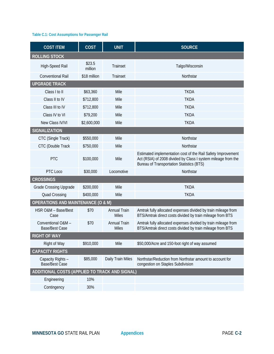### **Table C.1: Cost Assumptions for Passenger Rail**

| <b>COST ITEM</b>                               | <b>COST</b>       | <b>UNIT</b>                         | <b>SOURCE</b>                                                                                                                                                                     |
|------------------------------------------------|-------------------|-------------------------------------|-----------------------------------------------------------------------------------------------------------------------------------------------------------------------------------|
| <b>ROLLING STOCK</b>                           |                   |                                     |                                                                                                                                                                                   |
| High-Speed Rail                                | \$23.5<br>million | <b>Trainset</b>                     | Talgo/Wisconsin                                                                                                                                                                   |
| <b>Conventional Rail</b>                       | \$18 million      | <b>Trainset</b>                     | Northstar                                                                                                                                                                         |
| <b>UPGRADE TRACK</b>                           |                   |                                     |                                                                                                                                                                                   |
| Class I to II                                  | \$63,360          | Mile                                | <b>TKDA</b>                                                                                                                                                                       |
| Class II to IV                                 | \$712,800         | Mile                                | <b>TKDA</b>                                                                                                                                                                       |
| Class III to IV                                | \$712,800         | Mile                                | <b>TKDA</b>                                                                                                                                                                       |
| Class IV to VI                                 | \$79,200          | Mile                                | <b>TKDA</b>                                                                                                                                                                       |
| New Class IV/VI                                | \$2,600,000       | Mile                                | <b>TKDA</b>                                                                                                                                                                       |
| <b>SIGNALIZATION</b>                           |                   |                                     |                                                                                                                                                                                   |
| CTC (Single Track)                             | \$550,000         | Mile                                | Northstar                                                                                                                                                                         |
| <b>CTC</b> (Double Track                       | \$750,000         | Mile                                | Northstar                                                                                                                                                                         |
| PTC                                            | \$100,000         | Mile                                | Estimated implementation cost of the Rail Safety Improvement<br>Act (RSIA) of 2008 divided by Class I system mileage from the<br><b>Bureau of Transportation Statistics (BTS)</b> |
| PTC Loco                                       | \$30,000          | Locomotive                          | Northstar                                                                                                                                                                         |
| <b>CROSSINGS</b>                               |                   |                                     |                                                                                                                                                                                   |
| <b>Grade Crossing Upgrade</b>                  | \$200,000         | Mile                                | <b>TKDA</b>                                                                                                                                                                       |
| <b>Quad Crossing</b>                           | \$400,000         | Mile                                | <b>TKDA</b>                                                                                                                                                                       |
| <b>OPERATIONS AND MAINTENANCE (O &amp; M)</b>  |                   |                                     |                                                                                                                                                                                   |
| HSR O&M - Base/Best<br>Case                    | \$70              | <b>Annual Train</b><br><b>Miles</b> | Amtrak fully allocated expenses divided by train mileage from<br>BTS/Amtrak direct costs divided by train mileage from BTS                                                        |
| Conventional O&M -<br><b>Base/Best Case</b>    | \$70              | <b>Annual Train</b><br><b>Miles</b> | Amtrak fully allocated expenses divided by train mileage from<br>BTS/Amtrak direct costs divided by train mileage from BTS                                                        |
| <b>RIGHT OF WAY</b>                            |                   |                                     |                                                                                                                                                                                   |
| Right of Way                                   | \$910,000         | Mile                                | \$50,000/Acre and 150-foot right of way assumed                                                                                                                                   |
| <b>CAPACITY RIGHTS</b>                         |                   |                                     |                                                                                                                                                                                   |
| Capacity Rights -<br><b>Base/Best Case</b>     | \$85,000          | Daily Train Miles                   | Northstar/Reduction from Northstar amount to account for<br>congestion on Staples Subdivision                                                                                     |
| ADDITIONAL COSTS (APPLIED TO TRACK AND SIGNAL) |                   |                                     |                                                                                                                                                                                   |
| Engineering                                    | 10%               |                                     |                                                                                                                                                                                   |
| Contingency                                    | 30%               |                                     |                                                                                                                                                                                   |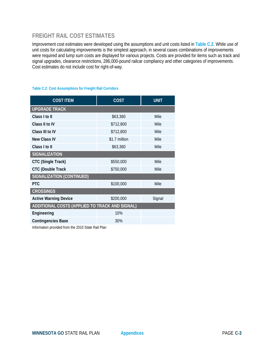# **FREIGHT RAIL COST ESTIMATES**

Improvement cost estimates were developed using the assumptions and unit costs listed in **Table C.2**. While use of unit costs for calculating improvements is the simplest approach, in several cases combinations of improvements were required and lump sum costs are displayed for various projects. Costs are provided for items such as track and signal upgrades, clearance restrictions, 286,000-pound railcar compliancy and other categories of improvements. Cost estimates do not include cost for right-of-way.

| <b>COST ITEM</b>                               | <b>COST</b>   | <b>UNIT</b> |
|------------------------------------------------|---------------|-------------|
| <b>UPGRADE TRACK</b>                           |               |             |
| Class I to II                                  | \$63,360      | Mile        |
| Class II to IV                                 | \$712,800     | Mile        |
| Class III to IV                                | \$712,800     | Mile        |
| New Class IV                                   | \$1.7 million | Mile        |
| Class I to II                                  | \$63,360      | Mile        |
| <b>SIGNALIZATION</b>                           |               |             |
| CTC (Single Track)                             | \$550,000     | Mile        |
| <b>CTC (Double Track</b>                       | \$750,000     | Mile        |
| <b>SIGNALIZATION (CONTINUED)</b>               |               |             |
| <b>PTC</b>                                     | \$100,000     | Mile        |
| <b>CROSSINGS</b>                               |               |             |
| <b>Active Warning Device</b>                   | \$200,000     | Signal      |
| ADDITIONAL COSTS (APPLIED TO TRACK AND SIGNAL) |               |             |
| Engineering                                    | 10%           |             |
| <b>Contingencies Base</b>                      | 30%           |             |

#### **Table C.2: Cost Assumptions for Freight Rail Corridors**

Information provided from the 2010 State Rail Plan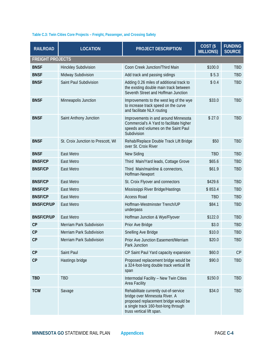# **Table C.3: Twin Cities Core Projects – Freight, Passenger, and Crossing Safety**

| <b>RAILROAD</b>         | <b>LOCATION</b>                    | <b>PROJECT DESCRIPTION</b>                                                                                                                                                           | COST(S)<br><b>MILLIONS)</b> | <b>FUNDING</b><br><b>SOURCE</b> |
|-------------------------|------------------------------------|--------------------------------------------------------------------------------------------------------------------------------------------------------------------------------------|-----------------------------|---------------------------------|
| <b>FREIGHT PROJECTS</b> |                                    |                                                                                                                                                                                      |                             |                                 |
| <b>BNSF</b>             | <b>Hinckley Subdivision</b>        | Coon Creek Junction/Third Main                                                                                                                                                       | \$100.0                     | TBD                             |
| <b>BNSF</b>             | Midway Subdivision                 | Add track and passing sidings                                                                                                                                                        | \$5.3                       | <b>TBD</b>                      |
| <b>BNSF</b>             | Saint Paul Subdivision             | Adding 0.26 miles of additional track to<br>the existing double main track between<br>Seventh Street and Hoffman Junction                                                            | \$0.4                       | <b>TBD</b>                      |
| <b>BNSF</b>             | Minneapolis Junction               | Improvements to the west leg of the wye<br>to increase track speed on the curve<br>and facilitate NLX routing                                                                        | \$33.0                      | TBD                             |
| <b>BNSF</b>             | Saint Anthony Junction             | Improvements in and around Minnesota<br>Commercial's A Yard to facilitate higher<br>speeds and volumes on the Saint Paul<br>Subdivision                                              | \$27.0                      | <b>TBD</b>                      |
| <b>BNSF</b>             | St. Croix Junction to Prescott, WI | Rehab/Replace Double Track Lift Bridge<br>over St. Croix River                                                                                                                       | \$50                        | TBD                             |
| <b>BNSF</b>             | East Metro                         | New Siding                                                                                                                                                                           | <b>TBD</b>                  | <b>TBD</b>                      |
| <b>BNSF/CP</b>          | East Metro                         | Third Main/Yard leads, Cottage Grove                                                                                                                                                 | \$65.6                      | <b>TBD</b>                      |
| <b>BNSF/CP</b>          | East Metro                         | Third Main/mainline & connectors,<br>Hoffman-Newport                                                                                                                                 | \$61.9                      | <b>TBD</b>                      |
| <b>BNSF/CP</b>          | East Metro                         | St. Croix Flyover and connectors                                                                                                                                                     | \$429.6                     | <b>TBD</b>                      |
| <b>BNSF/CP</b>          | East Metro                         | Mississippi River Bridge/Hastings                                                                                                                                                    | \$853.4                     | TBD                             |
| <b>BNSF/CP</b>          | East Metro                         | <b>Access Road</b>                                                                                                                                                                   | <b>TBD</b>                  | <b>TBD</b>                      |
| <b>BNSF/CP/UP</b>       | East Metro                         | Hoffman-Westminster Trench/UP<br>underpass                                                                                                                                           | \$84.1                      | <b>TBD</b>                      |
| <b>BNSF/CP/UP</b>       | East Metro                         | Hoffman Junction & Wye/Flyover                                                                                                                                                       | \$122.0                     | <b>TBD</b>                      |
| CP                      | Merriam Park Subdivision           | Prior Ave Bridge                                                                                                                                                                     | \$3.0                       | TBD                             |
| CP                      | Merriam Park Subdivision           | Snelling Ave Bridge                                                                                                                                                                  | \$10.0                      | TBD                             |
| CP                      | Merriam Park Subdivision           | Prior Ave Junction Easement/Merriam<br>Park Junction                                                                                                                                 | \$20.0                      | <b>TBD</b>                      |
| CP                      | Saint Paul                         | CP Saint Paul Yard capacity expansion                                                                                                                                                | \$60.0                      | CP                              |
| CP                      | Hastings bridge                    | Proposed replacement bridge would be<br>a 324-foot-long double track vertical lift<br>span                                                                                           | \$90.0                      | TBD                             |
| <b>TBD</b>              | <b>TBD</b>                         | Intermodal Facility - New Twin Cities<br>Area Facility                                                                                                                               | \$150.0                     | TBD                             |
| <b>TCW</b>              | Savage                             | Rehabilitate currently out-of-service<br>bridge over Minnesota River. A<br>proposed replacement bridge would be<br>a single track 160-foot-long through<br>truss vertical lift span. | \$34.0                      | TBD                             |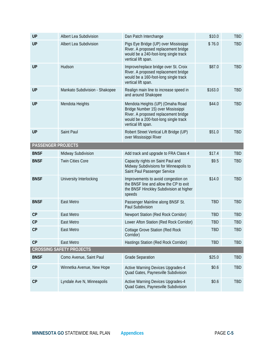| <b>UP</b>                 | Albert Lea Subdivision          | Dan Patch Interchange                                                                                                                                                          | \$10.0     | <b>TBD</b> |
|---------------------------|---------------------------------|--------------------------------------------------------------------------------------------------------------------------------------------------------------------------------|------------|------------|
| <b>UP</b>                 | Albert Lea Subdivision          | Pigs Eye Bridge (UP) over Mississippi<br>River. A proposed replacement bridge<br>would be a 240-foot-long single track<br>vertical lift span.                                  | \$76.0     | <b>TBD</b> |
| <b>UP</b>                 | Hudson                          | Improve/replace bridge over St. Croix<br>River. A proposed replacement bridge<br>would be a 160-foot-long single track<br>vertical lift span.                                  | \$87.0     | <b>TBD</b> |
| <b>UP</b>                 | Mankato Subdivision - Shakopee  | Realign main line to increase speed in<br>and around Shakopee                                                                                                                  | \$163.0    | <b>TBD</b> |
| <b>UP</b>                 | Mendota Heights                 | Mendota Heights (UP) (Omaha Road<br>Bridge Number 15) over Mississippi<br>River. A proposed replacement bridge<br>would be a 200-foot-long single track<br>vertical lift span. | \$44.0     | <b>TBD</b> |
| <b>UP</b>                 | Saint Paul                      | Robert Street Vertical Lift Bridge (UP)<br>over Mississippi River                                                                                                              | \$51.0     | <b>TBD</b> |
| <b>PASSENGER PROJECTS</b> |                                 |                                                                                                                                                                                |            |            |
| <b>BNSF</b>               | Midway Subdivision              | Add track and upgrade to FRA Class 4                                                                                                                                           | \$17.4     | <b>TBD</b> |
| <b>BNSF</b>               | <b>Twin Cities Core</b>         | Capacity rights on Saint Paul and<br>Midway Subdivisions for Minneapolis to<br>Saint Paul Passenger Service                                                                    | \$9.5      | <b>TBD</b> |
| <b>BNSF</b>               | University Interlocking         | Improvements to avoid congestion on<br>the BNSF line and allow the CP to exit<br>the BNSF Hinckley Subdivision at higher<br>speeds                                             | \$14.0     | <b>TBD</b> |
| <b>BNSF</b>               | East Metro                      | Passenger Mainline along BNSF St.<br>Paul Subdivision                                                                                                                          | <b>TBD</b> | <b>TBD</b> |
| CP                        | East Metro                      | Newport Station (Red Rock Corridor)                                                                                                                                            | <b>TBD</b> | <b>TBD</b> |
| CP                        | East Metro                      | Lower Afton Station (Red Rock Corridor)                                                                                                                                        | <b>TBD</b> | <b>TBD</b> |
| CP                        | East Metro                      | <b>Cottage Grove Station (Red Rock</b><br>Corridor)                                                                                                                            | <b>TBD</b> | <b>TBD</b> |
| CP                        | East Metro                      | Hastings Station (Red Rock Corridor)                                                                                                                                           | <b>TBD</b> | <b>TBD</b> |
|                           | <b>CROSSING SAFETY PROJECTS</b> |                                                                                                                                                                                |            |            |
| <b>BNSF</b>               | Como Avenue, Saint Paul         | <b>Grade Separation</b>                                                                                                                                                        | \$25.0     | <b>TBD</b> |
| CP                        | Winnetka Avenue, New Hope       | <b>Active Warning Devices Upgrades-4</b><br>Quad Gates, Paynesville Subdivision                                                                                                | \$0.6      | <b>TBD</b> |
| CP                        | Lyndale Ave N, Minneapolis      | <b>Active Warning Devices Upgrades-4</b><br>Quad Gates, Paynesville Subdivision                                                                                                | \$0.6      | TBD        |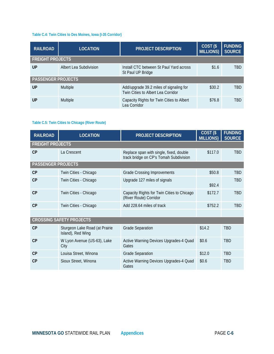### **Table C.4: Twin Cities to Des Moines, Iowa (I-35 Corridor)**

| <b>RAILROAD</b>           | <b>LOCATION</b>        | <b>PROJECT DESCRIPTION</b>                                                    | COST <sub>(\$</sub><br><b>MILLIONS)</b> | <b>FUNDING</b><br><b>SOURCE</b> |
|---------------------------|------------------------|-------------------------------------------------------------------------------|-----------------------------------------|---------------------------------|
| <b>FREIGHT PROJECTS</b>   |                        |                                                                               |                                         |                                 |
| UP                        | Albert Lea Subdivision | Install CTC between St Paul Yard across<br>St Paul UP Bridge                  | \$1.6                                   | <b>TRD</b>                      |
| <b>PASSENGER PROJECTS</b> |                        |                                                                               |                                         |                                 |
| UP                        | Multiple               | Add/upgrade 39.2 miles of signaling for<br>Twin Cities to Albert Lea Corridor | \$30.2                                  | <b>TRD</b>                      |
| UP                        | Multiple               | Capacity Rights for Twin Cities to Albert<br>Lea Corridor                     | \$76.8                                  | <b>TRD</b>                      |

# **Table C.5: Twin Cities to Chicago (River Route)**

| <b>RAILROAD</b>           | <b>LOCATION</b>                                     | <b>PROJECT DESCRIPTION</b>                                                        | $\overline{COST}$ (\$<br><b>MILLIONS)</b> | <b>FUNDING</b><br><b>SOURCE</b> |
|---------------------------|-----------------------------------------------------|-----------------------------------------------------------------------------------|-------------------------------------------|---------------------------------|
| <b>FREIGHT PROJECTS</b>   |                                                     |                                                                                   |                                           |                                 |
| CP                        | La Crescent                                         | Replace span with single, fixed, double<br>track bridge on CP's Tomah Subdivision | \$117.0                                   | <b>TBD</b>                      |
| <b>PASSENGER PROJECTS</b> |                                                     |                                                                                   |                                           |                                 |
| CP                        | Twin Cities - Chicago                               | <b>Grade Crossing Improvements</b>                                                | \$50.8                                    | <b>TRD</b>                      |
| CP                        | Twin Cities - Chicago                               | Upgrade 127 miles of signals                                                      | \$92.4                                    | <b>TBD</b>                      |
| CP                        | Twin Cities - Chicago                               | Capacity Rights for Twin Cities to Chicago<br>(River Route) Corridor              | \$172.7                                   | <b>TBD</b>                      |
| CP                        | Twin Cities - Chicago                               | Add 228.64 miles of track                                                         | \$752.2                                   | <b>TBD</b>                      |
|                           |                                                     |                                                                                   |                                           |                                 |
|                           | <b>CROSSING SAFETY PROJECTS</b>                     |                                                                                   |                                           |                                 |
| CP                        | Sturgeon Lake Road (at Prairie<br>Island), Red Wing | <b>Grade Separation</b>                                                           | \$14.2                                    | <b>TRD</b>                      |
| CP                        | W Lyon Avenue (US-63), Lake<br>City                 | Active Warning Devices Upgrades-4 Quad<br>Gates                                   | \$0.6                                     | <b>TBD</b>                      |
| CP                        | Louisa Street, Winona                               | <b>Grade Separation</b>                                                           | \$12.0                                    | <b>TBD</b>                      |
| CP                        | Sioux Street, Winona                                | Active Warning Devices Upgrades-4 Quad<br>Gates                                   | \$0.6                                     | <b>TRD</b>                      |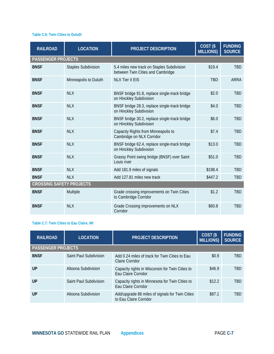#### **Table C.6: Twin Cities to Duluth**

| <b>RAILROAD</b>                 | <b>LOCATION</b>            | <b>PROJECT DESCRIPTION</b>                                                      | COST <sub>(\$</sub><br><b>MILLIONS)</b> | <b>FUNDING</b><br><b>SOURCE</b> |
|---------------------------------|----------------------------|---------------------------------------------------------------------------------|-----------------------------------------|---------------------------------|
| <b>PASSENGER PROJECTS</b>       |                            |                                                                                 |                                         |                                 |
| <b>BNSF</b>                     | <b>Staples Subdivision</b> | 5.4 miles new track on Staples Subdivision<br>between Twin Cities and Cambridge | \$19.4                                  | <b>TBD</b>                      |
| <b>BNSF</b>                     | Minneapolis to Duluth      | <b>NLX Tier II EIS</b>                                                          | <b>TBD</b>                              | <b>ARRA</b>                     |
| <b>BNSF</b>                     | <b>NLX</b>                 | BNSF bridge 91.8, replace single-track bridge<br>on Hinckley Subdivision        | \$2.0                                   | <b>TBD</b>                      |
| <b>BNSF</b>                     | <b>NLX</b>                 | BNSF bridge 28.3, replace single-track bridge<br>on Hinckley Subdivision        | \$4.0                                   | <b>TBD</b>                      |
| <b>BNSF</b>                     | <b>NLX</b>                 | BNSF bridge 30.2, replace single-track bridge<br>on Hinckley Subdivision        | \$6.0                                   | <b>TBD</b>                      |
| <b>BNSF</b>                     | <b>NLX</b>                 | Capacity Rights from Minneapolis to<br>Cambridge on NLX Corridor                | \$7.4                                   | <b>TBD</b>                      |
| <b>BNSF</b>                     | <b>NLX</b>                 | BNSF bridge 62.4, replace single-track bridge<br>on Hinckley Subdivision        | \$13.0                                  | <b>TBD</b>                      |
| <b>BNSF</b>                     | <b>NLX</b>                 | Grassy Point swing bridge (BNSF) over Saint<br>Louis river                      | \$51.0                                  | <b>TBD</b>                      |
| <b>BNSF</b>                     | <b>NLX</b>                 | Add 181.9 miles of signals                                                      | \$198.4                                 | <b>TBD</b>                      |
| <b>BNSF</b>                     | <b>NLX</b>                 | Add 127.81 miles new track                                                      | \$447.2                                 | <b>TBD</b>                      |
| <b>CROSSING SAFETY PROJECTS</b> |                            |                                                                                 |                                         |                                 |
| <b>BNSF</b>                     | Multiple                   | Grade crossing improvements on Twin Cities<br>to Cambridge Corridor             | \$1.2                                   | <b>TBD</b>                      |
| <b>BNSF</b>                     | <b>NLX</b>                 | Grade Crossing improvements on NLX<br>Corridor                                  | \$60.8                                  | <b>TBD</b>                      |

# **Table C.7: Twin Cities to Eau Claire, WI**

| <b>RAILROAD</b>           | <b>LOCATION</b>        | <b>PROJECT DESCRIPTION</b>                                                | COST <sub>(\$</sub><br><b>MILLIONS)</b> | <b>FUNDING</b><br><b>SOURCE</b> |
|---------------------------|------------------------|---------------------------------------------------------------------------|-----------------------------------------|---------------------------------|
| <b>PASSENGER PROJECTS</b> |                        |                                                                           |                                         |                                 |
| <b>BNSF</b>               | Saint Paul Subdivision | Add 0.24 miles of track for Twin Cities to Eau<br>Claire Corridor         | \$0.9                                   | <b>TRD</b>                      |
| UP                        | Altoona Subdivision    | Capacity rights in Wisconsin for Twin Cities to<br>Eau Claire Corridor    | \$46.9                                  | <b>TRD</b>                      |
| UP                        | Saint Paul Subdivision | Capacity rights in Minnesota for Twin Cities to<br>Eau Claire Corridor    | \$12.2                                  | <b>TRD</b>                      |
| $\mathsf{U} \mathsf{P}$   | Altoona Subdivision    | Add/upgrade 86 miles of signals for Twin Cities<br>to Eau Claire Corridor | \$87.1                                  | TRD                             |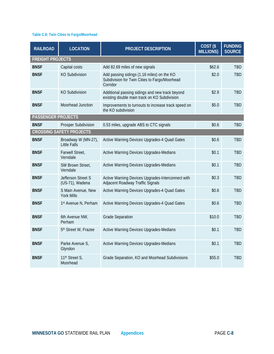### **Table C.8: Twin Cities to Fargo/Moorhead**

| <b>RAILROAD</b>           | <b>LOCATION</b>                            | <b>PROJECT DESCRIPTION</b>                                                                              | COST <sub>(\$</sub><br><b>MILLIONS)</b> | <b>FUNDING</b><br><b>SOURCE</b> |
|---------------------------|--------------------------------------------|---------------------------------------------------------------------------------------------------------|-----------------------------------------|---------------------------------|
| <b>FREIGHT PROJECTS</b>   |                                            |                                                                                                         |                                         |                                 |
| <b>BNSF</b>               | Capital costs                              | Add 82.69 miles of new signals                                                                          | \$62.6                                  | <b>TBD</b>                      |
| <b>BNSF</b>               | <b>KO Subdivision</b>                      | Add passing sidings (1.16 miles) on the KO<br>Subdivision for Twin Cities to Fargo/Moorhead<br>Corridor | \$2.0                                   | <b>TBD</b>                      |
| <b>BNSF</b>               | <b>KO Subdivision</b>                      | Additional passing sidings and new track beyond<br>existing double main track on KO Subdivision         | \$2.9                                   | <b>TBD</b>                      |
| <b>BNSF</b>               | Moorhead Junction                          | Improvements to turnouts to increase track speed on<br>the KO subdivision                               | \$5.0                                   | <b>TBD</b>                      |
| <b>PASSENGER PROJECTS</b> |                                            |                                                                                                         |                                         |                                 |
| <b>BNSF</b>               | Prosper Subdivision                        | 0.53 miles, upgrade ABS to CTC signals                                                                  | \$0.6                                   | <b>TBD</b>                      |
|                           | <b>CROSSING SAFETY PROJECTS</b>            |                                                                                                         |                                         |                                 |
| <b>BNSF</b>               | Broadway W (MN-27),<br><b>Little Falls</b> | Active Warning Devices Upgrades-4 Quad Gates                                                            | \$0.6                                   | <b>TBD</b>                      |
| <b>BNSF</b>               | Farwell Street,<br>Verndale                | Active Warning Devices Upgrades-Medians                                                                 | \$0.1                                   | <b>TBD</b>                      |
| <b>BNSF</b>               | SW Brown Street,<br>Verndale               | Active Warning Devices Upgrades-Medians                                                                 | \$0.1                                   | <b>TBD</b>                      |
| <b>BNSF</b>               | Jefferson Street S<br>(US-71), Wadena      | Active Warning Devices Upgrades-Interconnect with<br>Adjacent Roadway Traffic Signals                   | \$0.3                                   | <b>TBD</b>                      |
| <b>BNSF</b>               | S Main Avenue, New<br><b>York Mills</b>    | Active Warning Devices Upgrades-4 Quad Gates                                                            | \$0.6                                   | <b>TBD</b>                      |
| <b>BNSF</b>               | 1st Avenue N, Perham                       | Active Warning Devices Upgrades-4 Quad Gates                                                            | \$0.6                                   | <b>TBD</b>                      |
| <b>BNSF</b>               | 6th Avenue NW,<br>Perham                   | <b>Grade Separation</b>                                                                                 | \$10.0                                  | <b>TBD</b>                      |
| <b>BNSF</b>               | 5 <sup>th</sup> Street W, Frazee           | Active Warning Devices Upgrades-Medians                                                                 | \$0.1                                   | <b>TBD</b>                      |
| <b>BNSF</b>               | Parke Avenue S,<br>Glyndon                 | Active Warning Devices Upgrades-Medians                                                                 | \$0.1                                   | <b>TBD</b>                      |
| <b>BNSF</b>               | 11 <sup>th</sup> Street S,<br>Moorhead     | Grade Separation, KO and Moorhead Subdivisions                                                          | \$55.0                                  | <b>TBD</b>                      |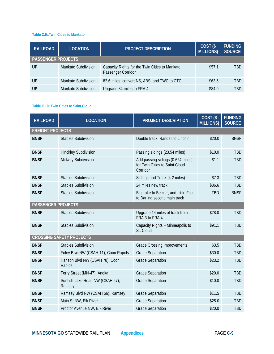#### **Table C.9:.Twin Cities to Mankato**

| <b>RAILROAD</b>           | <b>LOCATION</b>            | <b>PROJECT DESCRIPTION</b>                                           | COST <sub>(\$</sub><br><b>MILLIONS</b> ) | <b>FUNDING</b><br><b>SOURCE</b> |
|---------------------------|----------------------------|----------------------------------------------------------------------|------------------------------------------|---------------------------------|
| <b>PASSENGER PROJECTS</b> |                            |                                                                      |                                          |                                 |
| UP                        | Mankato Subdivision        | Capacity Rights for the Twin Cities to Mankato<br>Passenger Corridor | \$57.1                                   | <b>TBD</b>                      |
| UP                        | Mankato Subdivision        | 82.6 miles, convert NS, ABS, and TWC to CTC                          | \$63.6                                   | <b>TBD</b>                      |
| UP                        | <b>Mankato Subdivision</b> | Upgrade 84 miles to FRA 4                                            | \$84.0                                   | TRD                             |

#### **Table C.10: Twin Cities to Saint Cloud**

| <b>RAILROAD</b>           | <b>LOCATION</b>                           | <b>PROJECT DESCRIPTION</b>                                                      | COST <sub>(\$</sub><br><b>MILLIONS)</b> | <b>FUNDING</b><br><b>SOURCE</b> |
|---------------------------|-------------------------------------------|---------------------------------------------------------------------------------|-----------------------------------------|---------------------------------|
| <b>FREIGHT PROJECTS</b>   |                                           |                                                                                 |                                         |                                 |
| <b>BNSF</b>               | <b>Staples Subdivision</b>                | Double track, Randall to Lincoln                                                | \$20.0                                  | <b>BNSF</b>                     |
| <b>BNSF</b>               | <b>Hinckley Subdivision</b>               | Passing sidings (23.54 miles)                                                   | \$10.0                                  | <b>TBD</b>                      |
| <b>BNSF</b>               | Midway Subdivision                        | Add passing sidings (0.624 miles)<br>for Twin Cities to Saint Cloud<br>Corridor | \$1.1                                   | <b>TBD</b>                      |
| <b>BNSF</b>               | <b>Staples Subdivision</b>                | Sidings and Track (4.2 miles)                                                   | \$7.3                                   | <b>TBD</b>                      |
| <b>BNSF</b>               | <b>Staples Subdivision</b>                | 24 miles new track                                                              | \$86.6                                  | <b>TBD</b>                      |
| <b>BNSF</b>               | <b>Staples Subdivision</b>                | Big Lake to Becker, and Little Falls<br>to Darling second main track            | <b>TBD</b>                              | <b>BNSF</b>                     |
| <b>PASSENGER PROJECTS</b> |                                           |                                                                                 |                                         |                                 |
| <b>BNSF</b>               | <b>Staples Subdivision</b>                | Upgrade 14 miles of track from<br>FRA 3 to FRA 4                                | \$28.0                                  | <b>TBD</b>                      |
| <b>BNSF</b>               | <b>Staples Subdivision</b>                | Capacity Rights - Minneapolis to<br>St. Cloud                                   | \$91.1                                  | <b>TBD</b>                      |
|                           | <b>CROSSING SAFETY PROJECTS</b>           |                                                                                 |                                         |                                 |
| <b>BNSF</b>               | <b>Staples Subdivision</b>                | <b>Grade Crossing Improvements</b>                                              | \$3.5                                   | <b>TBD</b>                      |
| <b>BNSF</b>               | Foley Blvd NW (CSAH-11), Coon Rapids      | <b>Grade Separation</b>                                                         | \$30.0                                  | <b>TBD</b>                      |
| <b>BNSF</b>               | Hanson Blvd NW (CSAH 78), Coon<br>Rapids  | <b>Grade Separation</b>                                                         | \$23.2                                  | <b>TBD</b>                      |
| <b>BNSF</b>               | Ferry Street (MN-47), Anoka               | <b>Grade Separation</b>                                                         | \$20.0                                  | <b>TBD</b>                      |
| <b>BNSF</b>               | Sunfish Lake Road NW (CSAH 57),<br>Ramsey | <b>Grade Separation</b>                                                         | \$10.0                                  | <b>TBD</b>                      |
| <b>BNSF</b>               | Ramsey Blvd NW (CSAH 56), Ramsey          | <b>Grade Separation</b>                                                         | \$11.5                                  | <b>TBD</b>                      |
| <b>BNSF</b>               | Main St NW, Elk River                     | <b>Grade Separation</b>                                                         | \$25.0                                  | <b>TBD</b>                      |
| <b>BNSF</b>               | Proctor Avenue NW, Elk River              | <b>Grade Separation</b>                                                         | \$20.0                                  | <b>TBD</b>                      |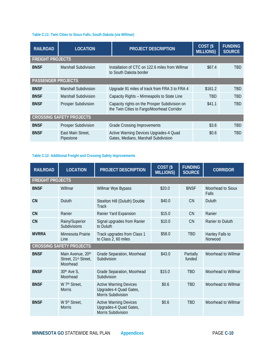#### **Table C.11: Twin Cities to Sioux Falls, South Dakota (via Willmar)**

| <b>RAILROAD</b>           | <b>LOCATION</b>                 | <b>PROJECT DESCRIPTION</b>                                                                  | $\overline{COST}$ (\$<br><b>MILLIONS)</b> | <b>FUNDING</b><br><b>SOURCE</b> |
|---------------------------|---------------------------------|---------------------------------------------------------------------------------------------|-------------------------------------------|---------------------------------|
| <b>FREIGHT PROJECTS</b>   |                                 |                                                                                             |                                           |                                 |
| <b>BNSF</b>               | Marshall Subdivision            | Installation of CTC on 122.6 miles from Willmar<br>to South Dakota border                   | \$67.4                                    | TBD                             |
| <b>PASSENGER PROJECTS</b> |                                 |                                                                                             |                                           |                                 |
| <b>BNSF</b>               | <b>Marshall Subdivision</b>     | Upgrade 91 miles of track from FRA 3 to FRA 4                                               | \$161.2                                   | <b>TBD</b>                      |
| <b>BNSF</b>               | <b>Marshall Subdivision</b>     | Capacity Rights - Minneapolis to State Line                                                 | <b>TBD</b>                                | <b>TBD</b>                      |
| <b>BNSF</b>               | <b>Prosper Subdivision</b>      | Capacity rights on the Prosper Subdivision on<br>the Twin Cities to Fargo/Moorhead Corridor | \$41.1                                    | TBD                             |
|                           | <b>CROSSING SAFETY PROJECTS</b> |                                                                                             |                                           |                                 |
| <b>BNSF</b>               | Prosper Subdivision             | <b>Grade Crossing Improvements</b>                                                          | \$3.6                                     | <b>TBD</b>                      |
| <b>BNSF</b>               | East Main Street,<br>Pipestone  | Active Warning Devices Upgrades-4 Quad<br>Gates, Medians, Marshall Subdivision              | \$0.6                                     | TBD                             |

# **Table C.12: Additional Freight and Crossing Safety Improvements**

| <b>RAILROAD</b>                 | <b>LOCATION</b>                                       | PROJECT DESCRIPTION                                                                  | COST <sub>(\$</sub><br><b>MILLIONS)</b> | <b>FUNDING</b><br><b>SOURCE</b> | <b>CORRIDOR</b>                   |  |  |  |
|---------------------------------|-------------------------------------------------------|--------------------------------------------------------------------------------------|-----------------------------------------|---------------------------------|-----------------------------------|--|--|--|
| <b>FREIGHT PROJECTS</b>         |                                                       |                                                                                      |                                         |                                 |                                   |  |  |  |
| <b>BNSF</b>                     | Willmar                                               | Willmar Wye Bypass                                                                   | \$20.0                                  | <b>BNSF</b>                     | Moorhead to Sioux<br><b>Falls</b> |  |  |  |
| <b>CN</b>                       | Duluth                                                | Steelton Hill (Duluth) Double<br><b>Track</b>                                        | \$40.0                                  | <b>CN</b>                       | Duluth                            |  |  |  |
| <b>CN</b>                       | Ranier                                                | Ranier Yard Expansion                                                                | \$15.0                                  | CN                              | Ranier                            |  |  |  |
| <b>CN</b>                       | Rainy/Superior<br>Subdivisions                        | Signal upgrades from Ranier<br>to Duluth                                             | \$10.0                                  | <b>CN</b>                       | Ranier to Duluth                  |  |  |  |
| <b>MVRRA</b>                    | Minnesota Prairie<br>Line                             | Track upgrades from Class 1<br>to Class 2, 60 miles                                  | \$58.0                                  | <b>TBD</b>                      | Hanley Falls to<br>Norwood        |  |  |  |
| <b>CROSSING SAFETY PROJECTS</b> |                                                       |                                                                                      |                                         |                                 |                                   |  |  |  |
| <b>BNSF</b>                     | Main Avenue, 20th<br>Street, 21st Street,<br>Moorhead | Grade Separation, Moorhead<br>Subdivision                                            | \$43.0                                  | Partially<br>funded             | Moorhead to Willmar               |  |  |  |
| <b>BNSF</b>                     | 30th Ave S,<br>Moorhead                               | Grade Separation, Moorhead<br>Subdivision                                            | \$15.0                                  | <b>TBD</b>                      | Moorhead to Willmar               |  |  |  |
| <b>BNSF</b>                     | W 7th Street,<br><b>Morris</b>                        | <b>Active Warning Devices</b><br>Upgrades-4 Quad Gates,<br><b>Morris Subdivision</b> | \$0.6                                   | <b>TBD</b>                      | Moorhead to Willmar               |  |  |  |
| <b>BNSF</b>                     | W 5th Street,<br><b>Morris</b>                        | <b>Active Warning Devices</b><br>Upgrades-4 Quad Gates,<br><b>Morris Subdivision</b> | \$0.6                                   | <b>TBD</b>                      | Moorhead to Willmar               |  |  |  |